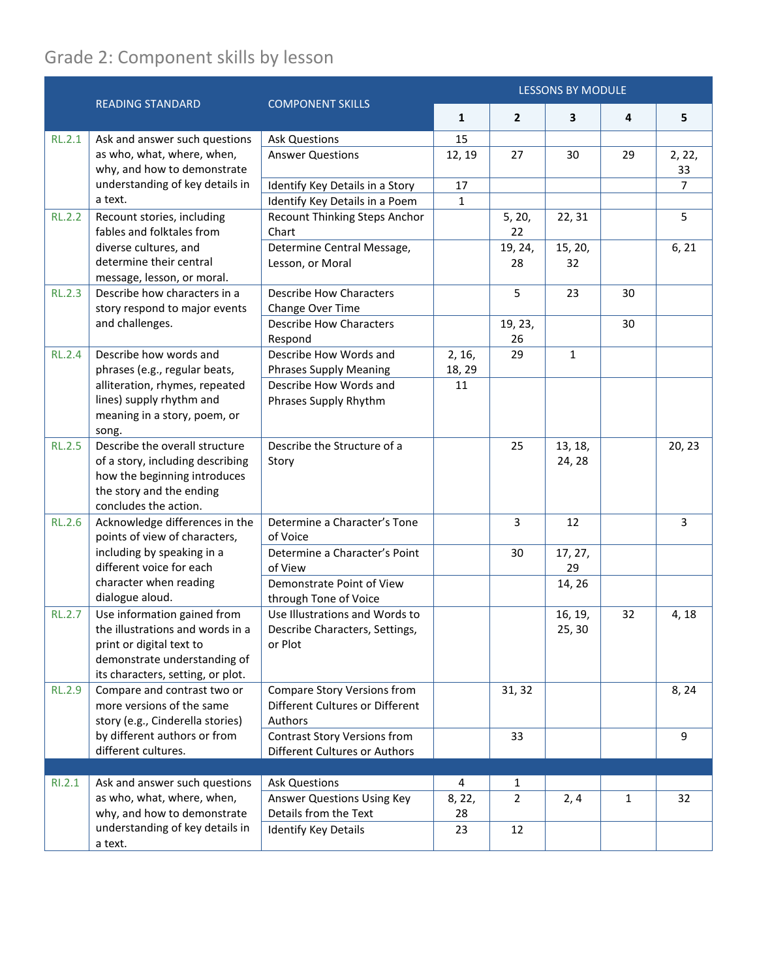## Grade 2: Component skills by lesson

|               |                                                                                                                                                                        | <b>COMPONENT SKILLS</b>                                                          | <b>LESSONS BY MODULE</b> |                |                   |              |                |
|---------------|------------------------------------------------------------------------------------------------------------------------------------------------------------------------|----------------------------------------------------------------------------------|--------------------------|----------------|-------------------|--------------|----------------|
|               | <b>READING STANDARD</b>                                                                                                                                                |                                                                                  | $\mathbf{1}$             | $\overline{2}$ | 3                 | 4            | 5              |
| <b>RL.2.1</b> | Ask and answer such questions                                                                                                                                          | <b>Ask Questions</b>                                                             | 15                       |                |                   |              |                |
|               | as who, what, where, when,<br>why, and how to demonstrate                                                                                                              | <b>Answer Questions</b>                                                          | 12, 19                   | 27             | 30                | 29           | 2, 22,<br>33   |
|               | understanding of key details in                                                                                                                                        | Identify Key Details in a Story                                                  | 17                       |                |                   |              | $\overline{7}$ |
|               | a text.                                                                                                                                                                | Identify Key Details in a Poem                                                   | $\mathbf{1}$             |                |                   |              |                |
| <b>RL.2.2</b> | Recount stories, including<br>fables and folktales from<br>diverse cultures, and<br>determine their central<br>message, lesson, or moral.                              | Recount Thinking Steps Anchor<br>Chart                                           |                          | 5, 20,<br>22   | 22, 31            |              | 5              |
|               |                                                                                                                                                                        | Determine Central Message,<br>Lesson, or Moral                                   |                          | 19, 24,<br>28  | 15, 20,<br>32     |              | 6, 21          |
| <b>RL.2.3</b> | Describe how characters in a<br>story respond to major events                                                                                                          | <b>Describe How Characters</b><br>Change Over Time                               |                          | 5              | 23                | 30           |                |
|               | and challenges.                                                                                                                                                        | <b>Describe How Characters</b><br>Respond                                        |                          | 19, 23,<br>26  |                   | 30           |                |
| <b>RL.2.4</b> | Describe how words and<br>phrases (e.g., regular beats,<br>alliteration, rhymes, repeated<br>lines) supply rhythm and<br>meaning in a story, poem, or<br>song.         | Describe How Words and<br><b>Phrases Supply Meaning</b>                          | 2, 16,<br>18, 29         | 29             | $\mathbf{1}$      |              |                |
|               |                                                                                                                                                                        | Describe How Words and<br>Phrases Supply Rhythm                                  | 11                       |                |                   |              |                |
| <b>RL.2.5</b> | Describe the overall structure<br>of a story, including describing<br>how the beginning introduces<br>the story and the ending<br>concludes the action.                | Describe the Structure of a<br>Story                                             |                          | 25             | 13, 18,<br>24, 28 |              | 20, 23         |
| <b>RL.2.6</b> | Acknowledge differences in the<br>points of view of characters,<br>including by speaking in a<br>different voice for each<br>character when reading<br>dialogue aloud. | Determine a Character's Tone<br>of Voice                                         |                          | 3              | 12                |              | $\overline{3}$ |
|               |                                                                                                                                                                        | Determine a Character's Point<br>of View                                         |                          | 30             | 17, 27,<br>29     |              |                |
|               |                                                                                                                                                                        | Demonstrate Point of View<br>through Tone of Voice                               |                          |                | 14, 26            |              |                |
| <b>RL.2.7</b> | Use information gained from<br>the illustrations and words in a<br>print or digital text to<br>demonstrate understanding of<br>its characters, setting, or plot.       | Use Illustrations and Words to<br>Describe Characters, Settings,<br>or Plot      |                          |                | 16, 19,<br>25, 30 | 32           | 4, 18          |
| <b>RL.2.9</b> | Compare and contrast two or<br>more versions of the same<br>story (e.g., Cinderella stories)                                                                           | <b>Compare Story Versions from</b><br>Different Cultures or Different<br>Authors |                          | 31, 32         |                   |              | 8, 24          |
|               | by different authors or from<br>different cultures.                                                                                                                    | <b>Contrast Story Versions from</b><br>Different Cultures or Authors             |                          | 33             |                   |              | 9              |
|               |                                                                                                                                                                        |                                                                                  |                          |                |                   |              |                |
| RI.2.1        | Ask and answer such questions                                                                                                                                          | <b>Ask Questions</b>                                                             | 4                        | 1              |                   |              |                |
|               | as who, what, where, when,<br>why, and how to demonstrate                                                                                                              | Answer Questions Using Key<br>Details from the Text                              | 8, 22,<br>28             | $\overline{2}$ | 2, 4              | $\mathbf{1}$ | 32             |
|               | understanding of key details in<br>a text.                                                                                                                             | <b>Identify Key Details</b>                                                      | 23                       | 12             |                   |              |                |